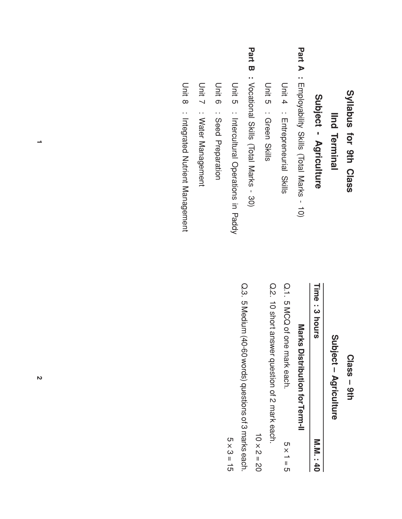### Syllabus for 9th<br>E Class

## **IInd Terminal** Terminal

# Subject - Agriculture

- Part  $\blacktriangleright$ : Employability Skills (Total Marks -  $\vec{\circ}$
- D<br>Unit 4 : Entrepreneurial Skills
- D<br>Unit ပာ : Green Skills
- Part<br>Ta  $\boldsymbol{\varpi}$ : Vocational Skills (Total Marks - 30)
- D<br>Di ပာ : Intercultural Operations 2. Paddy
- D<br>Ditt თ : Seed Preparation
- D<br>Unit  $\lnot$ : Water Management
- D<br>Unit  $\infty$ : Integrated Nutrient Management

#### Class – 9th<br>E

## Subject – Agriculture

| Time: 3 hours<br>Marks Distribution for Term-II | M.M. : 40        |
|-------------------------------------------------|------------------|
| Q.1. p MCQ of one mark each.                    | $5 \times 1 = 5$ |

Q.<br>? さ short answer question o<br>7 N mark each.

さ × N  $\overline{\phantom{a}}$ ≫<br>೦

Q.3. ပာ Medium (40-60 words) questions ቧ دە marks each.

× ω  $\overline{\phantom{a}}$ —<br>თ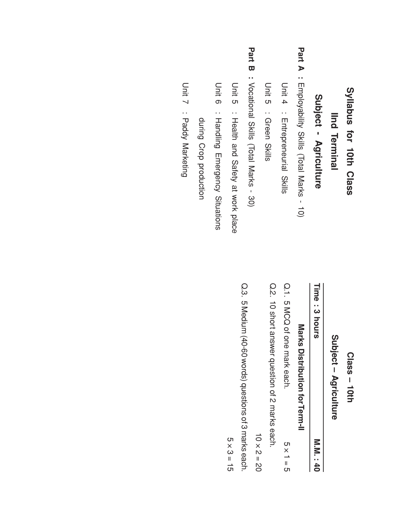### Syllabus for 10th Class

# **IInd Terminal** Terminal

# Subject - Agriculture

- Part  $\blacktriangleright$ : Employability Skills (Total Marks -  $\vec{\circ}$
- D<br>Unit 4 : Entrepreneurial Skills
- D<br>Unit ပာ : Green Skills
- Part<br>Ta  $\boldsymbol{\varpi}$ : Vocational Skills (Total Marks - 30)
- D<br>Di ပာ : Health and Safety  $\overline{\omega}$ work place
- D<br>Ditt თ : Handling Emergency Situations
- during Crop production
- D<br>Unit  $\lnot$ : Paddy Marketing

#### Class – 1<br>10th

## Subject – Agriculture

| Marks Distribution for Term-II | Time: 3 hours                | <b>M.M. : 40</b> |
|--------------------------------|------------------------------|------------------|
|                                | Q.1. 5 MCQ of one mark each. | $5 \times 1 = 5$ |

Q.<br>? さ short answer question <u>ር</u> N marks each.

さ × N  $\overline{\phantom{a}}$ ≫<br>೦

Q.3. ပာ Medium (40-60 words) questions ቧ دە marks each.

× ω  $\overline{\phantom{a}}$ —<br>თ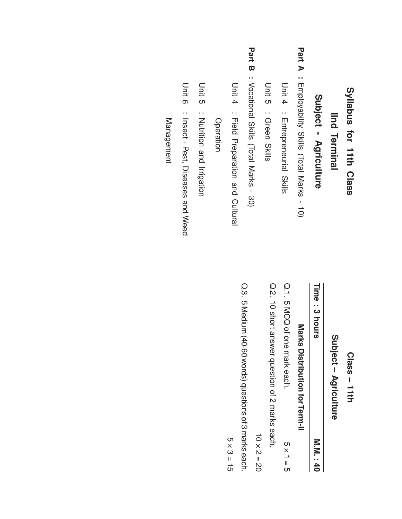### Syllabus for 1<br>1<br>1<br>1 Class

# **IInd Terminal** Terminal

# Subject - Agriculture

- Part  $\blacktriangleright$ : Employability Skills (Total Marks -  $\vec{\circ}$
- D<br>Unit 4 : Entrepreneurial Skills
- D<br>Unit ပာ : Green Skills
- Part<br>Ta  $\boldsymbol{\varpi}$ : Vocational Skills (Total Marks - 30)
- D<br>Di 4 : riel<br>Die Preparation and Cultural

Operation

- D<br>Unit ပာ : Nutrition and Irrigation
- D<br>Unit თ : Insect - Pest, Diseases and Weed

**Management** Management

#### Class – 1<br>1<br>1<br>1

## Subject – Agriculture

| Q.1. 5 MCQ of one mark each. | Marks Distribution for Term-II | Time: 3 hours |
|------------------------------|--------------------------------|---------------|
| $5 \times 1 = 5$             |                                | M.M. : 40     |

Q.<br>? さ short answer question <u>ር</u> N marks each.

さ × N  $\overline{\phantom{a}}$ ≫<br>೦

Q.3. ပာ Medium (40-60 words) questions ቧ دە marks each.

× ω  $\overline{\phantom{a}}$ —<br>თ